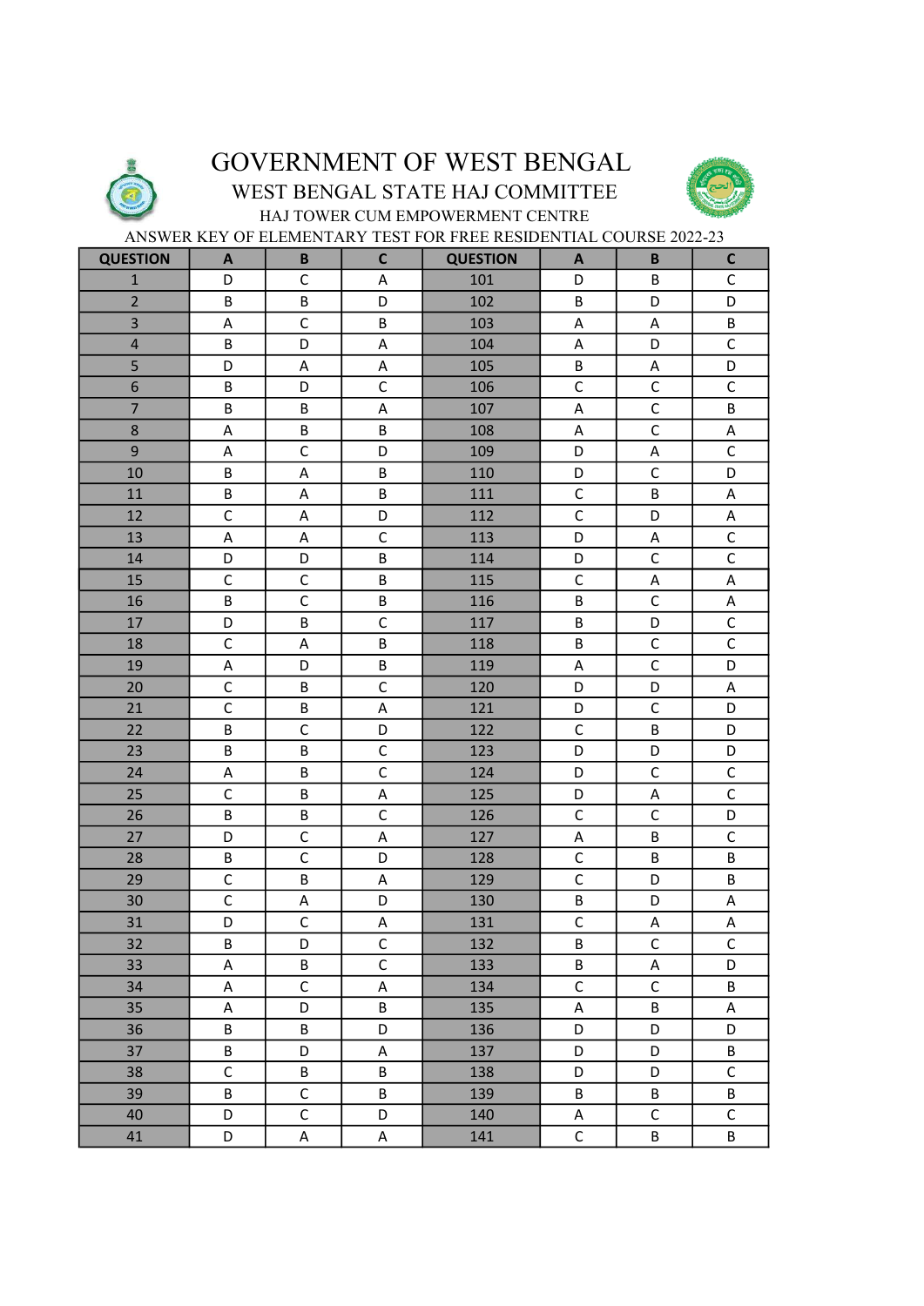

## GOVERNMENT OF WEST BENGAL

## WEST BENGAL STATE HAJ COMMITTEE



HAJ TOWER CUM EMPOWERMENT CENTRE ANSWER KEY OF ELEMENTARY TEST FOR FREE RESIDENTIAL COURSE 2022-23

| <b>QUESTION</b>         | A            | B            | $\mathsf C$    | <b>QUESTION</b> | A              | B            | $\mathsf{C}$   |
|-------------------------|--------------|--------------|----------------|-----------------|----------------|--------------|----------------|
| $\mathbf 1$             | D            | $\mathsf C$  | A              | 101             | D              | B            | $\mathsf C$    |
| $\overline{2}$          | B            | B            | D              | 102             | B              | D            | D              |
| $\overline{\mathbf{3}}$ | A            | $\mathsf C$  | B              | 103             | A              | A            | B              |
| $\overline{\mathbf{r}}$ | B            | D            | A              | 104             | A              | D            | $\mathsf C$    |
| 5                       | D            | $\sf A$      | $\sf A$        | 105             | B              | A            | D              |
| $\overline{6}$          | B            | D            | $\mathsf C$    | 106             | $\mathsf{C}$   | $\mathsf C$  | $\mathsf{C}$   |
| $\overline{7}$          | B            | B            | A              | 107             | A              | $\mathsf C$  | B              |
| 8                       | A            | B            | B              | 108             | A              | $\mathsf{C}$ | $\mathsf A$    |
| 9                       | A            | $\mathsf C$  | D              | 109             | D              | A            | $\mathsf C$    |
| 10                      | B            | $\mathsf A$  | B              | 110             | D              | $\mathsf C$  | D              |
| 11                      | B            | $\sf A$      | B              | 111             | $\mathsf C$    | B            | A              |
| 12                      | $\mathsf C$  | A            | D              | 112             | $\mathsf C$    | D            | A              |
| 13                      | $\mathsf A$  | $\mathsf A$  | $\mathsf C$    | 113             | D              | A            | $\mathsf C$    |
| 14                      | D            | D            | B              | 114             | D              | $\mathsf C$  | $\mathsf C$    |
| 15                      | $\mathsf C$  | $\mathsf C$  | B              | 115             | $\mathsf C$    | A            | A              |
| 16                      | B            | $\mathsf C$  | B              | 116             | B              | $\mathsf C$  | $\mathsf A$    |
| 17                      | D            | B            | $\mathsf C$    | 117             | $\sf B$        | D            | $\mathsf C$    |
| 18                      | $\mathsf C$  | $\sf A$      | B              | 118             | B              | $\mathsf C$  | $\overline{C}$ |
| 19                      | $\mathsf A$  | D            | $\sf B$        | 119             | $\sf A$        | $\mathsf{C}$ | D              |
| 20                      | $\mathsf C$  | B            | $\mathsf C$    | 120             | D              | D            | Α              |
| 21                      | $\mathsf C$  | B            | $\sf A$        | 121             | D              | $\mathsf C$  | D              |
| 22                      | B            | $\mathsf C$  | D              | 122             | $\mathsf C$    | B            | D              |
| 23                      | B            | $\sf B$      | $\mathsf C$    | 123             | D              | D            | D              |
| 24                      | $\mathsf A$  | $\sf B$      | $\mathsf C$    | 124             | D              | $\mathsf C$  | $\mathsf C$    |
| 25                      | $\mathsf C$  | B            | $\mathsf A$    | 125             | D              | A            | $\mathsf{C}$   |
| 26                      | B            | B            | $\mathsf C$    | 126             | $\mathsf C$    | $\mathsf C$  | D              |
| 27                      | D            | $\mathsf C$  | A              | 127             | Α              | B            | $\mathsf C$    |
| 28                      | B            | $\mathsf C$  | D              | 128             | $\mathsf C$    | B            | B              |
| 29                      | $\mathsf C$  | B            | A              | 129             | $\mathsf C$    | D            | B              |
| 30                      | $\mathsf C$  | $\mathsf A$  | D              | 130             | B              | D            | A              |
| 31                      | D            | $\mathsf C$  | A              | 131             | $\mathsf C$    | А            | A              |
| $\overline{32}$         | B            | D            | $\mathsf{C}$   | 132             | $\overline{B}$ | $\mathsf C$  | $\mathsf C$    |
| 33                      | A            | B            | $\overline{C}$ | 133             | B              | A            | D              |
| 34                      | A            | $\mathsf C$  | A              | 134             | $\mathsf C$    | $\mathsf{C}$ | B              |
| 35                      | A            | D            | B              | 135             | A              | B            | A              |
| 36                      | B            | B            | D              | 136             | D              | D            | D              |
| 37                      | B            | D            | Α              | 137             | D              | D            | B              |
| 38                      | $\mathsf{C}$ | B            | B              | 138             | D              | D            | $\mathsf C$    |
| 39                      | B            | $\mathsf{C}$ | B              | 139             | B              | B            | B              |
| 40                      | D            | $\mathsf C$  | D              | 140             | A              | $\mathsf C$  | $\mathsf C$    |
| 41                      | D            | Α            | A              | 141             | $\mathsf C$    | B            | B              |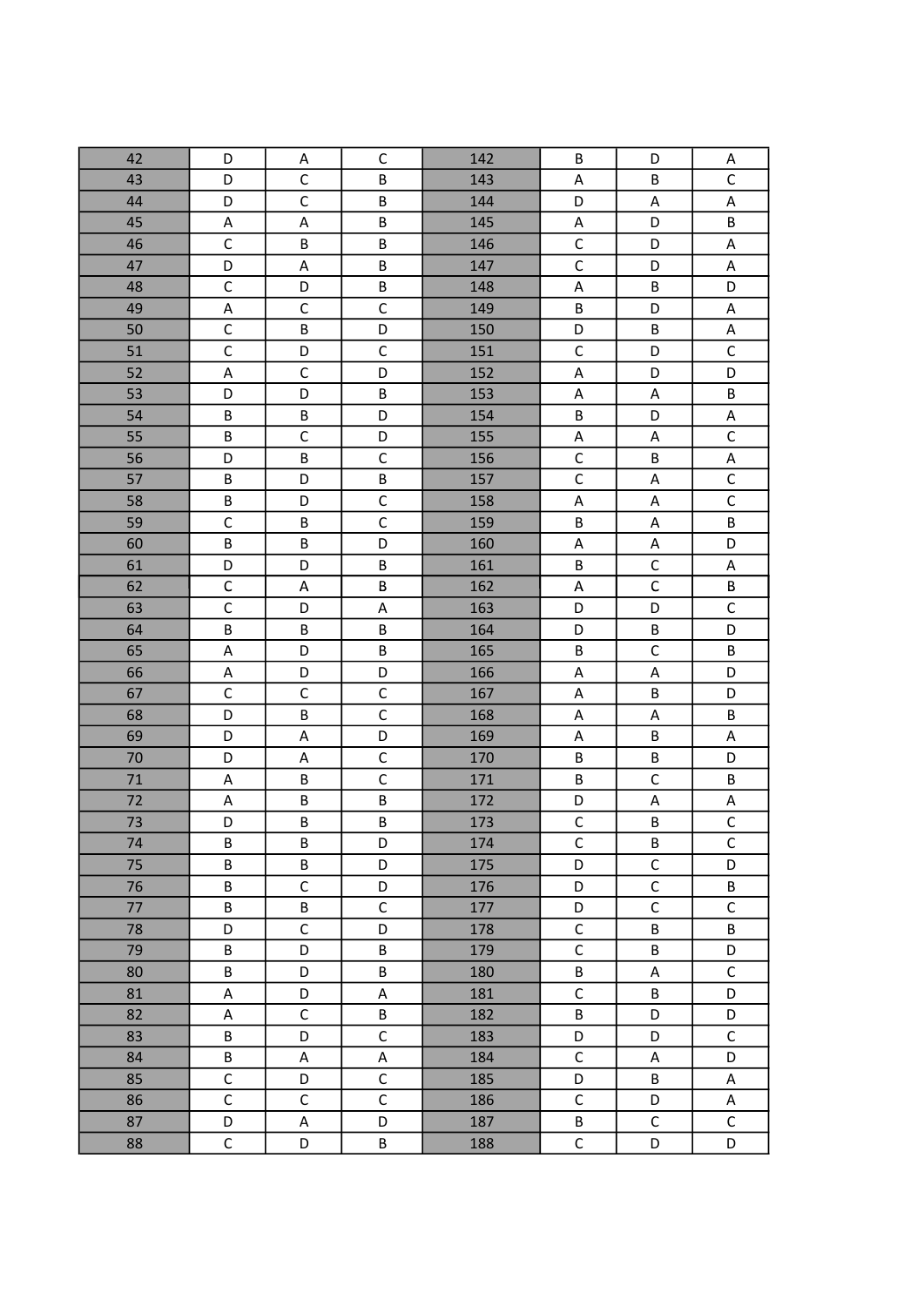| 42 | D            | Α            | $\mathsf C$             | 142 | B                         | D              | Α           |
|----|--------------|--------------|-------------------------|-----|---------------------------|----------------|-------------|
| 43 | D            | $\mathsf C$  | B                       | 143 | A                         | B              | $\mathsf C$ |
| 44 | D            | $\mathsf C$  | B                       | 144 | D                         | A              | $\mathsf A$ |
| 45 | А            | A            | B                       | 145 | $\mathsf A$               | D              | B           |
| 46 | $\mathsf C$  | B            | B                       | 146 | $\mathsf C$               | D              | A           |
| 47 | D            | $\mathsf A$  | B                       | 147 | $\overline{C}$            | D              | A           |
| 48 | $\mathsf C$  | D            | $\sf B$                 | 148 | $\mathsf A$               | $\sf B$        | D           |
| 49 | A            | $\mathsf C$  | $\mathsf C$             | 149 | B                         | D              | A           |
| 50 | $\mathsf{C}$ | B            | D                       | 150 | D                         | B              | $\mathsf A$ |
| 51 | $\mathsf C$  | D            | $\mathsf C$             | 151 | $\mathsf C$               | D              | $\mathsf C$ |
| 52 | $\sf A$      | $\mathsf{C}$ | D                       | 152 | $\mathsf A$               | D              | D           |
| 53 | D            | D            | B                       | 153 | $\boldsymbol{\mathsf{A}}$ | $\mathsf A$    | $\sf B$     |
| 54 | B            | B            | D                       | 154 | $\sf B$                   | D              | $\mathsf A$ |
| 55 | B            | $\mathsf C$  | D                       | 155 | $\mathsf A$               | A              | $\mathsf C$ |
| 56 | D            | B            | $\mathsf C$             | 156 | $\mathsf C$               | B              | A           |
| 57 | B            | D            | $\overline{\mathsf{B}}$ | 157 | $\overline{C}$            | A              | $\mathsf C$ |
| 58 | B            | D            | $\mathsf C$             | 158 | $\mathsf A$               | $\mathsf A$    | $\mathsf C$ |
| 59 | $\mathsf C$  | B            | $\mathsf{C}$            | 159 | B                         | A              | B           |
| 60 | B            | B            | D                       | 160 | $\mathsf A$               | $\mathsf A$    | D           |
| 61 | D            | D            | В                       | 161 | B                         | $\mathsf C$    | A           |
| 62 | $\mathsf{C}$ | A            | B                       | 162 | $\mathsf A$               | $\overline{C}$ | $\sf B$     |
| 63 | $\mathsf C$  | D            | $\mathsf A$             | 163 | D                         | D              | $\mathsf C$ |
| 64 | B            | B            | B                       | 164 | D                         | B              | D           |
| 65 | A            | D            | B                       | 165 | B                         | $\mathsf C$    | B           |
| 66 | А            | D            | D                       | 166 | $\sf A$                   | A              | D           |
| 67 | $\mathsf C$  | $\mathsf C$  | $\overline{C}$          | 167 | A                         | B              | D           |
| 68 | D            | B            | $\mathsf C$             | 168 | Α                         | A              | $\sf B$     |
| 69 | D            | A            | D                       | 169 | A                         | B              | $\mathsf A$ |
| 70 | D            | A            | $\mathsf C$             | 170 | B                         | B              | D           |
| 71 | A            | B            | $\mathsf C$             | 171 | B                         | $\mathsf C$    | B           |
| 72 | $\mathsf A$  | B            | B                       | 172 | D                         | A              | $\mathsf A$ |
| 73 | D            | B            | B                       | 173 | $\mathsf C$               | B              | $\mathsf C$ |
| 74 | В            | В            | D                       | 174 | C                         | B              | C           |
| 75 | B            | B            | D                       | 175 | D                         | $\mathsf C$    | D           |
| 76 | B            | $\mathsf{C}$ | D                       | 176 | D                         | $\mathsf{C}$   | B           |
| 77 | B            | B            | $\overline{C}$          | 177 | D                         | $\overline{C}$ | $\mathsf C$ |
| 78 | D            | $\mathsf C$  | D                       | 178 | $\mathsf C$               | B              | B           |
| 79 | B            | D            | B                       | 179 | $\mathsf C$               | B              | D           |
| 80 | B            | D            | B                       | 180 | B                         | A              | $\mathsf C$ |
| 81 | A            | D            | A                       | 181 | $\mathsf{C}$              | B              | D           |
| 82 | $\sf A$      | $\mathsf{C}$ | B                       | 182 | B                         | D              | D           |
| 83 | B            | D            | $\mathsf C$             | 183 | D                         | D              | $\mathsf C$ |
| 84 | B            | Α            | A                       | 184 | $\mathsf C$               | A              | D           |
| 85 | $\mathsf C$  | D            | $\mathsf C$             | 185 | D                         | B              | Α           |
| 86 | $\mathsf{C}$ | $\mathsf C$  | $\mathsf{C}$            | 186 | $\mathsf C$               | D              | A           |
| 87 | D            | $\sf A$      | D                       | 187 | B                         | $\mathsf C$    | $\mathsf C$ |
| 88 | $\mathsf C$  | D            | B                       | 188 | C                         | D              | D           |